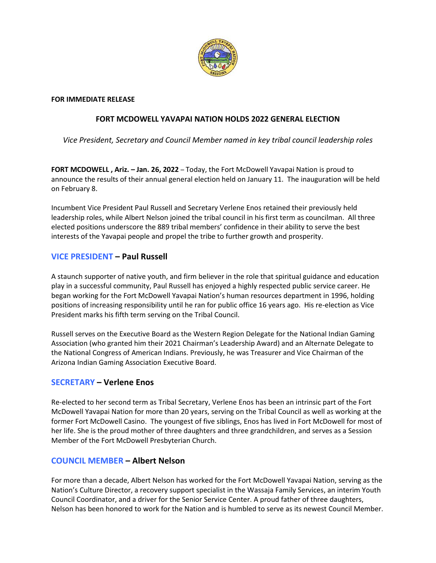

### **FOR IMMEDIATE RELEASE**

# **FORT MCDOWELL YAVAPAI NATION HOLDS 2022 GENERAL ELECTION**

*Vice President, Secretary and Council Member named in key tribal council leadership roles* 

**FORT MCDOWELL , Ariz. – Jan. 26, 2022** – Today, the Fort McDowell Yavapai Nation is proud to announce the results of their annual general election held on January 11. The inauguration will be held on February 8.

Incumbent Vice President Paul Russell and Secretary Verlene Enos retained their previously held leadership roles, while Albert Nelson joined the tribal council in his first term as councilman. All three elected positions underscore the 889 tribal members' confidence in their ability to serve the best interests of the Yavapai people and propel the tribe to further growth and prosperity.

# **VICE PRESIDENT – Paul Russell**

A staunch supporter of native youth, and firm believer in the role that spiritual guidance and education play in a successful community, Paul Russell has enjoyed a highly respected public service career. He began working for the Fort McDowell Yavapai Nation's human resources department in 1996, holding positions of increasing responsibility until he ran for public office 16 years ago. His re-election as Vice President marks his fifth term serving on the Tribal Council.

Russell serves on the Executive Board as the Western Region Delegate for the National Indian Gaming Association (who granted him their 2021 Chairman's Leadership Award) and an Alternate Delegate to the National Congress of American Indians. Previously, he was Treasurer and Vice Chairman of the Arizona Indian Gaming Association Executive Board.

### **SECRETARY – Verlene Enos**

Re-elected to her second term as Tribal Secretary, Verlene Enos has been an intrinsic part of the Fort McDowell Yavapai Nation for more than 20 years, serving on the Tribal Council as well as working at the former Fort McDowell Casino. The youngest of five siblings, Enos has lived in Fort McDowell for most of her life. She is the proud mother of three daughters and three grandchildren, and serves as a Session Member of the Fort McDowell Presbyterian Church.

### **COUNCIL MEMBER – Albert Nelson**

For more than a decade, Albert Nelson has worked for the Fort McDowell Yavapai Nation, serving as the Nation's Culture Director, a recovery support specialist in the Wassaja Family Services, an interim Youth Council Coordinator, and a driver for the Senior Service Center. A proud father of three daughters, Nelson has been honored to work for the Nation and is humbled to serve as its newest Council Member.